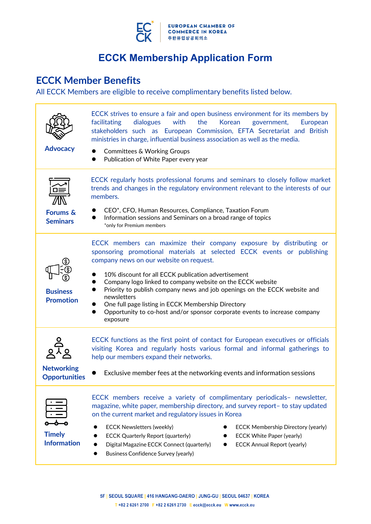

# **ECCK Member Benefits**

All ECCK Members are eligible to receive complimentary benefits listed below.

| <b>Advocacy</b>                           | ECCK strives to ensure a fair and open business environment for its members by<br>with<br>the<br>facilitating<br>dialogues<br>Korean<br>government,<br>European<br>stakeholders such as European Commission, EFTA Secretariat and British<br>ministries in charge, influential business association as well as the media.<br><b>Committees &amp; Working Groups</b><br>Publication of White Paper every year                                                                                                                                                                    |  |  |
|-------------------------------------------|---------------------------------------------------------------------------------------------------------------------------------------------------------------------------------------------------------------------------------------------------------------------------------------------------------------------------------------------------------------------------------------------------------------------------------------------------------------------------------------------------------------------------------------------------------------------------------|--|--|
| <b>Forums &amp;</b><br><b>Seminars</b>    | ECCK regularly hosts professional forums and seminars to closely follow market<br>trends and changes in the regulatory environment relevant to the interests of our<br>members.<br>CEO*, CFO, Human Resources, Compliance, Taxation Forum<br>Information sessions and Seminars on a broad range of topics<br>*only for Premium members                                                                                                                                                                                                                                          |  |  |
| <b>Business</b><br><b>Promotion</b>       | ECCK members can maximize their company exposure by distributing or<br>sponsoring promotional materials at selected ECCK events or publishing<br>company news on our website on request.<br>10% discount for all ECCK publication advertisement<br>Company logo linked to company website on the ECCK website<br>Priority to publish company news and job openings on the ECCK website,<br>newsletter and Facebook (on request)<br>One full page listing in ECCK Membership Directory<br>Opportunity to co-host and/or sponsor corporate events to increase company<br>exposure |  |  |
| <b>Networking</b><br><b>Opportunities</b> | ECCK functions as the first point of contact for European executives or officials<br>visiting Korea and regularly hosts various formal and informal gatherings to<br>help our members expand their networks.<br>Exclusive member fees at the networking events and information sessions                                                                                                                                                                                                                                                                                         |  |  |
| <b>Timely</b><br><b>Information</b>       | ECCK members receive a variety of complimentary periodicals- newsletter,<br>magazine, white paper, membership directory, and survey report- to stay updated<br>on the current market and regulatory issues in Korea<br><b>ECCK Newsletters (weekly)</b><br><b>ECCK Membership Directory (yearly)</b><br><b>ECCK White Paper (yearly)</b><br><b>ECCK Quarterly Report (quarterly)</b><br>Digital Magazine ECCK Connect (quarterly)<br><b>ECCK Annual Report (yearly)</b><br><b>Business Confidence Survey (yearly)</b>                                                           |  |  |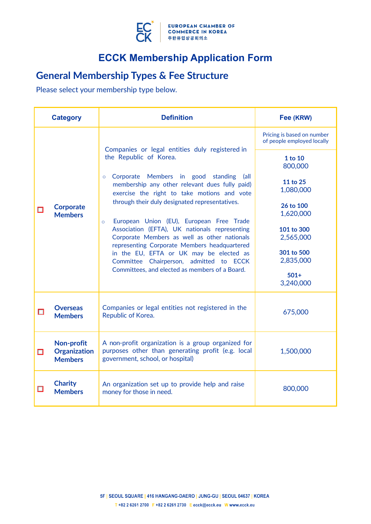

# **General Membership Types & Fee Structure**

Please select your membership type below.

|        | <b>Category</b>                                                                                                                                                                                    | <b>Definition</b>                                                                                                                                      | Fee (KRW)                                                |
|--------|----------------------------------------------------------------------------------------------------------------------------------------------------------------------------------------------------|--------------------------------------------------------------------------------------------------------------------------------------------------------|----------------------------------------------------------|
| □      | <b>Corporate</b><br><b>Members</b>                                                                                                                                                                 |                                                                                                                                                        | Pricing is based on number<br>of people employed locally |
|        |                                                                                                                                                                                                    | Companies or legal entities duly registered in<br>the Republic of Korea.                                                                               | 1 to 10<br>800,000                                       |
|        |                                                                                                                                                                                                    | Corporate Members in good standing<br>(all<br>$\circ$<br>membership any other relevant dues fully paid)<br>exercise the right to take motions and vote | 11 to 25<br>1,080,000                                    |
|        |                                                                                                                                                                                                    | through their duly designated representatives.<br>European Union (EU), European Free Trade<br>$\circ$                                                  | 26 to 100<br>1,620,000                                   |
|        |                                                                                                                                                                                                    | Association (EFTA), UK nationals representing<br>Corporate Members as well as other nationals                                                          | 101 to 300<br>2,565,000                                  |
|        |                                                                                                                                                                                                    | representing Corporate Members headquartered<br>in the EU, EFTA or UK may be elected as<br>Committee Chairperson, admitted to ECCK                     | 301 to 500<br>2,835,000                                  |
|        |                                                                                                                                                                                                    | Committees, and elected as members of a Board.                                                                                                         | $501+$<br>3,240,000                                      |
| $\Box$ | Companies or legal entities not registered in the<br><b>Overseas</b><br>Republic of Korea.<br><b>Members</b>                                                                                       |                                                                                                                                                        | 675,000                                                  |
| □      | Non-profit<br>A non-profit organization is a group organized for<br><b>Organization</b><br>purposes other than generating profit (e.g. local<br>government, school, or hospital)<br><b>Members</b> |                                                                                                                                                        | 1,500,000                                                |
| ш      | <b>Charity</b><br>An organization set up to provide help and raise<br><b>Members</b><br>money for those in need.                                                                                   |                                                                                                                                                        | 800,000                                                  |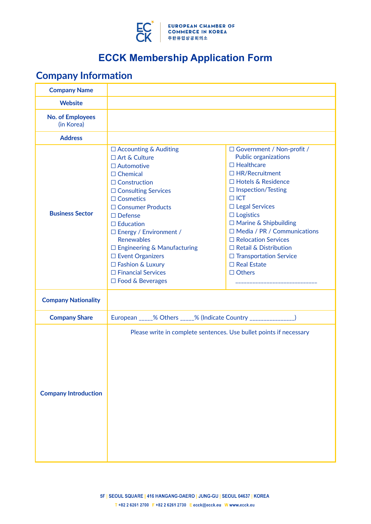

# **Company Information**

| <b>Company Name</b>                   |                                                                                                                                                                                                                                                                                                                                                                                                                          |                                                                                                                                                                                                                                                                                                                                                                                                                            |  |
|---------------------------------------|--------------------------------------------------------------------------------------------------------------------------------------------------------------------------------------------------------------------------------------------------------------------------------------------------------------------------------------------------------------------------------------------------------------------------|----------------------------------------------------------------------------------------------------------------------------------------------------------------------------------------------------------------------------------------------------------------------------------------------------------------------------------------------------------------------------------------------------------------------------|--|
| <b>Website</b>                        |                                                                                                                                                                                                                                                                                                                                                                                                                          |                                                                                                                                                                                                                                                                                                                                                                                                                            |  |
| <b>No. of Employees</b><br>(in Korea) |                                                                                                                                                                                                                                                                                                                                                                                                                          |                                                                                                                                                                                                                                                                                                                                                                                                                            |  |
| <b>Address</b>                        |                                                                                                                                                                                                                                                                                                                                                                                                                          |                                                                                                                                                                                                                                                                                                                                                                                                                            |  |
| <b>Business Sector</b>                | $\Box$ Accounting & Auditing<br>$\Box$ Art & Culture<br>$\Box$ Automotive<br>$\Box$ Chemical<br>$\Box$ Construction<br>$\Box$ Consulting Services<br>$\Box$ Cosmetics<br>□ Consumer Products<br>$\Box$ Defense<br>$\Box$ Education<br>□ Energy / Environment /<br><b>Renewables</b><br>$\Box$ Engineering & Manufacturing<br>□ Event Organizers<br>□ Fashion & Luxury<br>□ Financial Services<br>$\Box$ Food & Beverages | □ Government / Non-profit /<br><b>Public organizations</b><br>$\Box$ Healthcare<br>$\Box$ HR/Recruitment<br>□ Hotels & Residence<br>$\Box$ Inspection/Testing<br>$\Box$ ICT<br>$\Box$ Legal Services<br>$\Box$ Logistics<br>$\Box$ Marine & Shipbuilding<br>$\Box$ Media / PR / Communications<br>□ Relocation Services<br>$\Box$ Retail & Distribution<br>□ Transportation Service<br>$\Box$ Real Estate<br>$\Box$ Others |  |
| <b>Company Nationality</b>            |                                                                                                                                                                                                                                                                                                                                                                                                                          |                                                                                                                                                                                                                                                                                                                                                                                                                            |  |
| <b>Company Share</b>                  | European _____% Others _____% (Indicate Country _______________)                                                                                                                                                                                                                                                                                                                                                         |                                                                                                                                                                                                                                                                                                                                                                                                                            |  |
| <b>Company Introduction</b>           | Please write in complete sentences. Use bullet points if necessary                                                                                                                                                                                                                                                                                                                                                       |                                                                                                                                                                                                                                                                                                                                                                                                                            |  |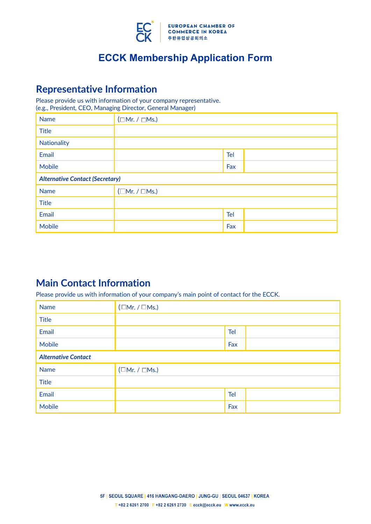

## **Representative Information**

Please provide us with information of your company representative. (e.g., President, CEO, Managing Director, General Manager)

| <b>Name</b>                            | $(\Box Mr. / \Box Ms.)$   |     |  |
|----------------------------------------|---------------------------|-----|--|
| <b>Title</b>                           |                           |     |  |
| Nationality                            |                           |     |  |
| Email                                  | Tel                       |     |  |
| <b>Mobile</b>                          |                           | Fax |  |
| <b>Alternative Contact (Secretary)</b> |                           |     |  |
| <b>Name</b>                            | $(\Box$ Mr. / $\Box$ Ms.) |     |  |
| <b>Title</b>                           |                           |     |  |
| Email                                  |                           | Tel |  |
| <b>Mobile</b>                          |                           | Fax |  |

## **Main Contact Information**

Please provide us with information of your company's main point of contact for the ECCK.

| <b>Name</b>                | $(\Box Mr. / \Box Ms.)$   |            |  |
|----------------------------|---------------------------|------------|--|
| <b>Title</b>               |                           |            |  |
| Email                      |                           | <b>Tel</b> |  |
| Mobile                     |                           | Fax        |  |
| <b>Alternative Contact</b> |                           |            |  |
| <b>Name</b>                | $(\Box$ Mr. / $\Box$ Ms.) |            |  |
| <b>Title</b>               |                           |            |  |
| Email                      |                           | <b>Tel</b> |  |
| Mobile                     |                           | Fax        |  |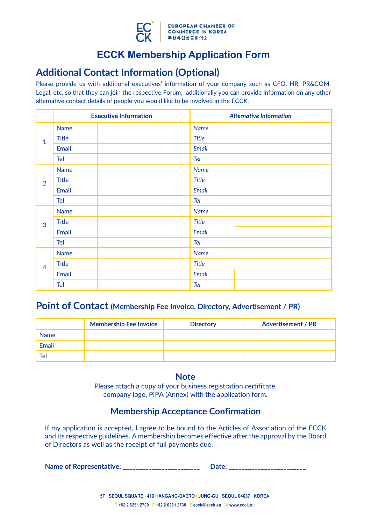

## **Additional Contact Information (Optional)**

Please provide us with additional executives' information of your company such as CFO, HR, PR&COM, Legal, etc. so that they can join the respective Forum; additionally you can provide information on any other alternative contact details of people you would like to be involved in the ECCK.

|                                     |              | <b>Executive Information</b> |              | <b>Alternative Information</b> |
|-------------------------------------|--------------|------------------------------|--------------|--------------------------------|
| $\mathbf{1}$<br>$\overline{2}$<br>3 | <b>Name</b>  |                              | <b>Name</b>  |                                |
|                                     | <b>Title</b> |                              | <b>Title</b> |                                |
|                                     | Email        |                              | Email        |                                |
|                                     | Tel          |                              | Tel          |                                |
|                                     | <b>Name</b>  |                              | <b>Name</b>  |                                |
|                                     | <b>Title</b> |                              | <b>Title</b> |                                |
|                                     | Email        |                              | Email        |                                |
|                                     | Tel          |                              | Tel          |                                |
|                                     | <b>Name</b>  |                              | <b>Name</b>  |                                |
| $\overline{4}$                      | <b>Title</b> |                              | <b>Title</b> |                                |
|                                     | Email        |                              | Email        |                                |
|                                     | Tel          |                              | Tel          |                                |
|                                     | <b>Name</b>  |                              | <b>Name</b>  |                                |
|                                     | <b>Title</b> |                              | <b>Title</b> |                                |
|                                     | Email        |                              | Email        |                                |
|                                     | <b>Tel</b>   |                              | Tel          |                                |

### **Point of Contact (Membership Fee Invoice, Directory, Advertisement / PR)**

|             | <b>Membership Fee Invoice</b> | <b>Directory</b> | <b>Advertisement / PR</b> |
|-------------|-------------------------------|------------------|---------------------------|
| <b>Name</b> |                               |                  |                           |
| Email       |                               |                  |                           |
| Tel         |                               |                  |                           |

### **Note**

Please attach a copy of your business registration certificate, company logo, PIPA (Annex) with the application form.

### **Membership Acceptance Confirmation**

If my application is accepted, I agree to be bound to the Articles of Association of the ECCK and its respective guidelines. A membership becomes effective after the approval by the Board of Directors as well as the receipt of full payments due.

**Name of Representative: Date: Date: Date: Date: Date: Date: Date: Date: Date: Date: Date: Date: Date: Date: Date: Date: Date: Date: Date: Date: Date: Date: Date: Date: Dat**